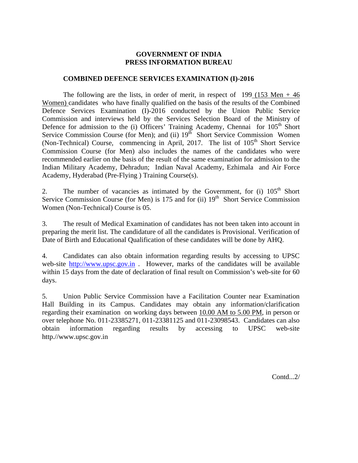# **GOVERNMENT OF INDIA PRESS INFORMATION BUREAU**

### **COMBINED DEFENCE SERVICES EXAMINATION (I)-2016**

The following are the lists, in order of merit, in respect of  $199$  (153 Men  $+ 46$ ) Women) candidates who have finally qualified on the basis of the results of the Combined Defence Services Examination (I)-2016 conducted by the Union Public Service Commission and interviews held by the Services Selection Board of the Ministry of Defence for admission to the (i) Officers' Training Academy, Chennai for 105<sup>th</sup> Short Service Commission Course (for Men); and (ii)  $19<sup>th</sup>$  Short Service Commission Women (Non-Technical) Course, commencing in April, 2017. The list of  $105<sup>th</sup>$  Short Service Commission Course (for Men) also includes the names of the candidates who were recommended earlier on the basis of the result of the same examination for admission to the Indian Military Academy, Dehradun; Indian Naval Academy, Ezhimala and Air Force Academy, Hyderabad (Pre-Flying ) Training Course(s).

2. The number of vacancies as intimated by the Government, for  $(i)$  105<sup>th</sup> Short Service Commission Course (for Men) is  $175$  and for (ii)  $19<sup>th</sup>$  Short Service Commission Women (Non-Technical) Course is 05.

3. The result of Medical Examination of candidates has not been taken into account in preparing the merit list. The candidature of all the candidates is Provisional. Verification of Date of Birth and Educational Qualification of these candidates will be done by AHQ.

4. Candidates can also obtain information regarding results by accessing to UPSC web-site http://www.upsc.gov.in . However, marks of the candidates will be available within 15 days from the date of declaration of final result on Commission's web-site for 60 days.

5. Union Public Service Commission have a Facilitation Counter near Examination Hall Building in its Campus. Candidates may obtain any information/clarification regarding their examination on working days between 10.00 AM to 5.00 PM, in person or over telephone No. 011-23385271, 011-23381125 and 011-23098543. Candidates can also obtain information regarding results by accessing to UPSC web-site http.//www.upsc.gov.in

Contd...2/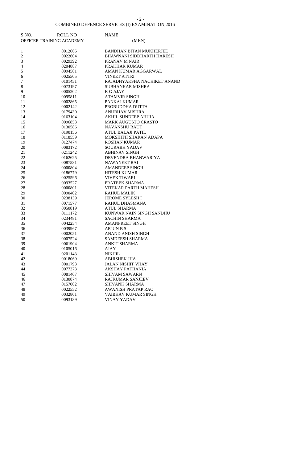#### - 2 -

#### COMBINED DEFENCE SERVICES (I) EXAMINATION,2016

| S.NO.            | <b>ROLL NO</b>           | <b>NAME</b>                      |
|------------------|--------------------------|----------------------------------|
|                  | OFFICER TRAINING ACADEMY | (MEN)                            |
|                  |                          |                                  |
| $\mathbf{1}$     | 0012665                  | <b>BANDHAN BITAN MUKHERJEE</b>   |
| $\overline{c}$   | 0022604                  | <b>BHAWNANI SIDDHARTH HARESH</b> |
| 3                | 0029392                  | PRANAV M NAIR                    |
| $\overline{4}$   | 0204887                  | PRAKHAR KUMAR                    |
| 5                | 0094581                  | AMAN KUMAR AGGARWAL              |
| 6                | 0025505                  | <b>VINEET ATTRI</b>              |
| $\boldsymbol{7}$ | 0101451                  | RAJADHYAKSHA NACHIKET ANAND      |
| $\,8\,$          | 0073197                  | SUBHANKAR MISHRA                 |
| 9                | 0005202                  | <b>K G AJAY</b>                  |
| 10               | 0095811                  | <b>ATAMVIR SINGH</b>             |
| 11               | 0002865                  | PANKAJ KUMAR                     |
| 12               | 0002142                  | PROBUDDHA DUTTA                  |
| 13               | 0179430                  | <b>ANUBHAV MISHRA</b>            |
| 14               | 0163104                  | AKHIL SUNDEEP AHUJA              |
| 15               | 0096853                  | <b>MARK AUGUSTO CRASTO</b>       |
| 16               | 0130586                  | <b>NAVANSHU RAUT</b>             |
| 17               | 0190156                  | <b>ATUL BALAJI PATIL</b>         |
| 18               | 0118559                  | MOKSHITH SHARAN ADAPA            |
| 19               | 0127474                  | <b>ROSHAN KUMAR</b>              |
| 20               | 0083172                  | <b>SOURABH YADAV</b>             |
| 21               | 0211242                  | <b>ABHINAV SINGH</b>             |
| 22               | 0162625                  | DEVENDRA BHANWARIYA              |
| 23               | 0087581                  | <b>NAWANEET RAI</b>              |
| 24               | 0000804                  | <b>AMANDEEP SINGH</b>            |
| 25               | 0186779                  | <b>HITESH KUMAR</b>              |
| 26               | 0025596                  | <b>VIVEK TIWARI</b>              |
| 27               | 0093527                  | PRATEEK SHARMA                   |
| 28               | 0000801                  | VITEKAR PARTH MAHESH             |
| 29               | 0090402                  | <b>RAHUL MALIK</b>               |
| 30               | 0238139                  | <b>JEROME SYLESH I</b>           |
| 31               | 0071577                  | RAHUL DHASMANA                   |
| 32               | 0050819                  | <b>ATUL SHARMA</b>               |
| 33               | 0111172                  | KUNWAR NAIN SINGH SANDHU         |
| 34               | 0234481                  | <b>SACHIN SHARMA</b>             |
| 35               | 0042254                  | <b>AMANPREET SINGH</b>           |
| 36               | 0039967                  | <b>ARJUN B S</b>                 |
| 37               | 0002051                  | ANAND ANISH SINGH                |
| 38               | 0007524                  | <b>SAMDEESH SHARMA</b>           |
| 39               | 0061904                  | <b>ANKIT SHARMA</b>              |
| 40               | 0105016                  | AJAY                             |
| 41               | 0201143                  | <b>NIKHIL</b>                    |
| 42               | 0018069                  | <b>ABHISHEK JHA</b>              |
| 43               | 0001793                  | <b>JALAN NISHIT VIJAY</b>        |
| 44               | 0077373                  | <b>AKSHAY PATHANIA</b>           |
| 45               | 0081467                  | <b>SHIVAM SAWARN</b>             |
| 46               | 0130874                  | <b>RAJKUMAR SANJEEV</b>          |
| 47               | 0157002                  | SHIVANK SHARMA                   |
| 48               | 0022552                  | <b>AWANISH PRATAP RAO</b>        |
| 49               | 0032801                  | VAIBHAV KUMAR SINGH              |
| 50               | 0093189                  | VINAY YADAV                      |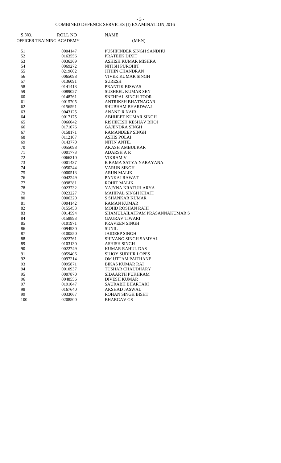#### - 3 -

#### COMBINED DEFENCE SERVICES (I) EXAMINATION,2016

| S.NO.    | <b>ROLL NO</b>           | <b>NAME</b>                                    |
|----------|--------------------------|------------------------------------------------|
|          | OFFICER TRAINING ACADEMY | (MEN)                                          |
|          |                          |                                                |
| 51       | 0004147                  | PUSHPINDER SINGH SANDHU                        |
| 52       | 0163556                  | PRATEEK DIXIT                                  |
| 53       | 0036369                  | ASHISH KUMAR MISHRA                            |
| 54       | 0069272                  | NITISH PUROHIT                                 |
| 55       | 0219602                  | <b>JITHIN CHANDRAN</b>                         |
| 56       | 0065098                  | <b>VIVEK KUMAR SINGH</b>                       |
| 57       | 0136091                  | <b>SURESH</b>                                  |
| 58       | 0141413                  | PRANTIK BISWAS                                 |
| 59       | 0089027                  | SUSHEEL KUMAR SEN                              |
| 60       | 0148761                  | SNEHPAL SINGH TOOR                             |
| 61       | 0015705                  | ANTRIKSH BHATNAGAR                             |
| 62       | 0156591                  | SHUBHAM BHARDWAJ                               |
| 63       | 0043125                  | ANAND R NAIR                                   |
| 64       | 0017175                  | ABHIJEET KUMAR SINGH                           |
| 65       | 0066042                  | RISHIKESH KESHAV BHOI                          |
| 66       | 0171076                  | <b>GAJENDRA SINGH</b>                          |
| 67       | 0158171                  | <b>RAMANDEEP SINGH</b>                         |
| 68       | 0112107                  | <b>ASHIS POLAI</b>                             |
| 69       | 0143770                  | <b>NITIN ANTIL</b>                             |
| 70       | 0055098                  | <b>AKASH AMBULKAR</b>                          |
| 71       | 0001773                  | <b>ADARSH A R</b>                              |
| 72       | 0066310                  | <b>VIKRAM V</b>                                |
| 73       | 0001437                  | B RAMA SATYA NARAYANA                          |
| 74       | 0050244                  | <b>VARUN SINGH</b>                             |
| 75       | 0000513                  | <b>ARUN MALIK</b>                              |
| 76       | 0042249                  | PANKAJ RAWAT                                   |
| 77       | 0098281                  | <b>ROHIT MALIK</b>                             |
| 78       | 0023732                  | YAJYNA KRATUH ARYA                             |
| 79       | 0023227                  | MAHIPAL SINGH KHATI                            |
| 80       | 0006320                  | <b>S SHANKAR KUMAR</b>                         |
| 81       | 0004142                  | <b>RAMAN KUMAR</b>                             |
| 82       | 0155453                  | <b>MOHD ROSHAN RAHI</b>                        |
| 83       | 0014594                  | SHAMULAILATPAM PRASANNAKUMAR S                 |
| 84       | 0158893                  | <b>GAURAV TIWARI</b>                           |
| 85       | 0101971                  | PRAVEEN SINGH<br><b>SUNIL</b>                  |
| 86       | 0094930                  | <b>JAIDEEP SINGH</b>                           |
| 87<br>88 | 0100550<br>0022761       | SHIVANG SINGH SAMYAL                           |
|          |                          |                                                |
| 89<br>90 | 0103130                  | <b>ASHISH SINGH</b>                            |
| 91       | 0022749<br>0059406       | <b>KUMAR RAHUL DAS</b>                         |
| 92       | 0097214                  | <b>SUJOY SUDHIR LOPES</b><br>OM UTTAM PAITHANE |
| 93       | 0095871                  | <b>BIKAS KUMAR RAI</b>                         |
| 94       | 0010937                  | TUSHAR CHAUDHARY                               |
| 95       |                          | SIDAARTH PUKHRAM                               |
| 96       | 0007870<br>0048556       | <b>DIVESH KUMAR</b>                            |
| 97       | 0191047                  | SAURABH BHARTARI                               |
| 98       | 0167640                  | AKSHAD JASWAL                                  |
| 99       | 0033067                  | <b>ROHAN SINGH BISHT</b>                       |
| 100      | 0208500                  | <b>BHARGAV GS</b>                              |
|          |                          |                                                |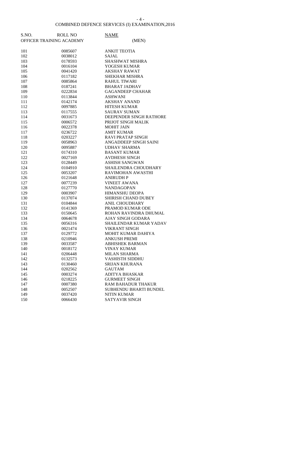- 4 -

#### COMBINED DEFENCE SERVICES (I) EXAMINATION,2016

| S.NO. | <b>ROLL NO</b>           | <b>NAME</b>                   |
|-------|--------------------------|-------------------------------|
|       | OFFICER TRAINING ACADEMY | (MEN)                         |
|       |                          |                               |
| 101   | 0085607                  | <b>ANKIT TEOTIA</b>           |
| 102   | 0038012                  | SAJAL                         |
| 103   | 0178593                  | <b>SHASHWAT MISHRA</b>        |
| 104   | 0016104                  | YOGESH KUMAR                  |
| 105   | 0041420                  | <b>AKSHAY RAWAT</b>           |
| 106   | 0117182                  | <b>SHEKHAR MISHRA</b>         |
| 107   | 0085864                  | <b>RAHUL TIWARI</b>           |
| 108   | 0187241                  | <b>BHARAT JADHAV</b>          |
| 109   | 0222834                  | <b>GAGANDEEP CHAHAR</b>       |
| 110   | 0113844                  | <b>ASHWANI</b>                |
| 111   | 0142174                  | <b>AKSHAY ANAND</b>           |
| 112   | 0097885                  | <b>HITESH KUMAR</b>           |
| 113   | 0117555                  | <b>SAURAV SUMAN</b>           |
| 114   | 0031673                  | DEEPENDER SINGH RATHORE       |
| 115   | 0006572                  | PRIJOT SINGH MALIK            |
| 116   | 0022378                  | <b>MOHIT JAIN</b>             |
| 117   | 0236722                  | <b>AMIT KUMAR</b>             |
| 118   | 0203227                  | <b>RAVI PRATAP SINGH</b>      |
| 119   | 0058963                  | ANGADDEEP SINGH SAINI         |
| 120   | 0095887                  | <b>UDHAV SHARMA</b>           |
| 121   | 0174310                  | <b>BASANT KUMAR</b>           |
| 122   | 0027169                  | <b>AVDHESH SINGH</b>          |
| 123   | 0128449                  | <b>ASHISH SANGWAN</b>         |
| 124   | 0104910                  | SHAILENDRA CHOUDHARY          |
| 125   | 0053207                  | RAVIMOHAN AWASTHI             |
| 126   | 0121648                  | <b>ANIRUDH P</b>              |
| 127   | 0077239                  | <b>VINEET AWANA</b>           |
| 128   | 0127770                  | <b>NANDAGOPAN</b>             |
| 129   | 0003907                  | <b>HIMANSHU DEOPA</b>         |
| 130   | 0137074                  | SHIRISH CHAND DUBEY           |
| 131   | 0104844                  | ANIL CHOUDHARY                |
| 132   | 0141369                  | PRAMOD KUMAR ODE              |
| 133   | 0150645                  | ROHAN RAVINDRA DHUMAL         |
| 134   | 0064678                  | AJAY SINGH GODARA             |
| 135   | 0056316                  | SHAILENDAR KUMAR YADAV        |
| 136   | 0021474                  | <b>VIKRANT SINGH</b>          |
| 137   | 0129772                  | MOHIT KUMAR DAHIYA            |
| 138   | 0210946                  | ANKUSH PREMI                  |
| 139   | 0033587                  | <b>ABHISHEK BARMAN</b>        |
| 140   | 0018172                  | VINAY KUMAR                   |
| 141   | 0206448                  | <b>MILAN SHARMA</b>           |
| 142   | 0132573                  | <b>VASHISTH SIDDHU</b>        |
| 143   | 0130460                  | SRIJAN KHURANA                |
| 144   | 0202562                  | <b>GAUTAM</b>                 |
| 145   | 0003274                  | <b>ADITYA BHASKAR</b>         |
| 146   | 0218225                  | <b>GURMEET SINGH</b>          |
| 147   | 0007380                  | RAM BAHADUR THAKUR            |
| 148   | 0052507                  | <b>SUBHENDU BHARTI BUNDEL</b> |
| 149   | 0037420                  | <b>NITIN KUMAR</b>            |
| 150   | 0066430                  | SATYAVIR SINGH                |
|       |                          |                               |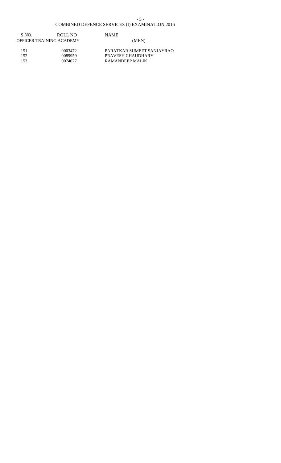#### COMBINED DEFENCE SERVICES (I) EXAMINATION,2016

| S.NO.<br>OFFICER TRAINING ACADEMY | ROLL NO | <b>NAME</b><br>(MEN)      |  |
|-----------------------------------|---------|---------------------------|--|
| 151                               | 0003472 | PARATKAR SUMEET SANJAYRAO |  |

152 0089959 PRAVESH CHAUDHARY 153 0074077 RAMANDEEP MALIK